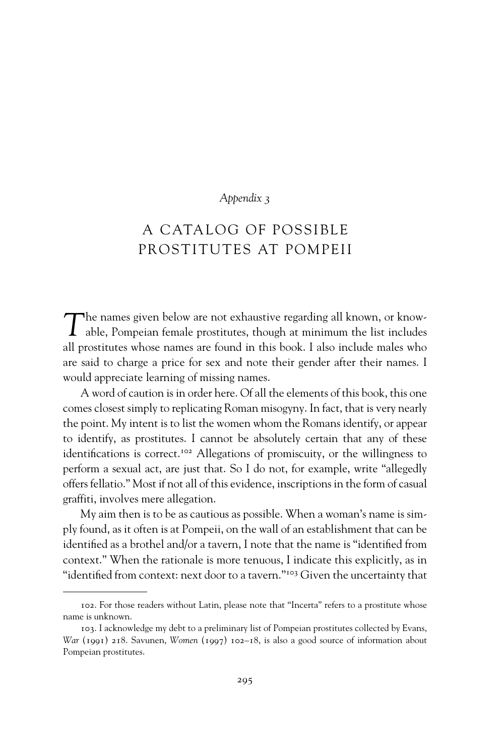## *Appendix 3*

## A CATALOG OF POSSIBLE PROSTITUTES AT POMPEII

The names given below are not exhaustive regarding all known, or knowable, Pompeian female prostitutes, though at minimum the list includes all prostitutes whose names are found in this book. I also include males who are said to charge a price for sex and note their gender after their names. I would appreciate learning of missing names.

A word of caution is in order here. Of all the elements of this book, this one comes closest simply to replicating Roman misogyny. In fact, that is very nearly the point. My intent is to list the women whom the Romans identify, or appear to identify, as prostitutes. I cannot be absolutely certain that any of these identifications is correct.<sup>102</sup> Allegations of promiscuity, or the willingness to perform a sexual act, are just that. So I do not, for example, write "allegedly offers fellatio." Most if not all of this evidence, inscriptions in the form of casual graffiti, involves mere allegation.

My aim then is to be as cautious as possible. When a woman's name is simply found, as it often is at Pompeii, on the wall of an establishment that can be identified as a brothel and/or a tavern, I note that the name is "identified from context." When the rationale is more tenuous, I indicate this explicitly, as in "identified from context: next door to a tavern."<sup>103</sup> Given the uncertainty that

<sup>102.</sup> For those readers without Latin, please note that "Incerta" refers to a prostitute whose name is unknown.

<sup>103.</sup> I acknowledge my debt to a preliminary list of Pompeian prostitutes collected by Evans, *War* (1991) 218. Savunen, *Women* (1997) 102–18, is also a good source of information about Pompeian prostitutes.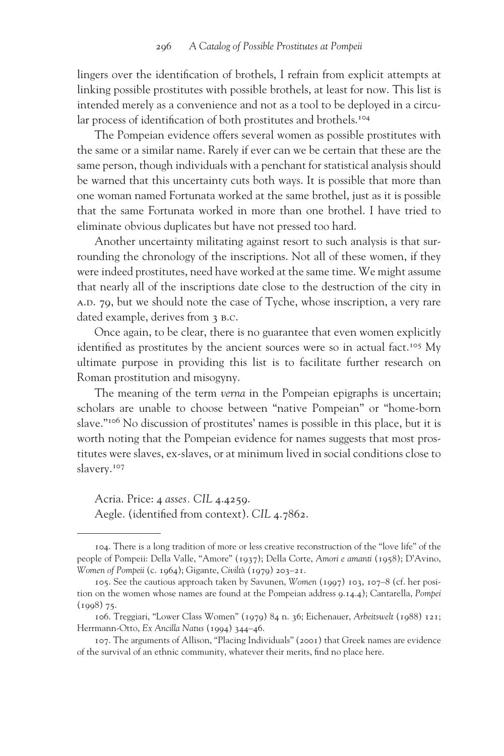lingers over the identification of brothels, I refrain from explicit attempts at linking possible prostitutes with possible brothels, at least for now. This list is intended merely as a convenience and not as a tool to be deployed in a circular process of identification of both prostitutes and brothels.<sup>104</sup>

The Pompeian evidence offers several women as possible prostitutes with the same or a similar name. Rarely if ever can we be certain that these are the same person, though individuals with a penchant for statistical analysis should be warned that this uncertainty cuts both ways. It is possible that more than one woman named Fortunata worked at the same brothel, just as it is possible that the same Fortunata worked in more than one brothel. I have tried to eliminate obvious duplicates but have not pressed too hard.

Another uncertainty militating against resort to such analysis is that surrounding the chronology of the inscriptions. Not all of these women, if they were indeed prostitutes, need have worked at the same time. We might assume that nearly all of the inscriptions date close to the destruction of the city in A.D. 79, but we should note the case of Tyche, whose inscription, a very rare dated example, derives from 3 B.C.

Once again, to be clear, there is no guarantee that even women explicitly identified as prostitutes by the ancient sources were so in actual fact.<sup>105</sup> My ultimate purpose in providing this list is to facilitate further research on Roman prostitution and misogyny.

The meaning of the term *verna* in the Pompeian epigraphs is uncertain; scholars are unable to choose between "native Pompeian" or "home-born slave."<sup>106</sup> No discussion of prostitutes' names is possible in this place, but it is worth noting that the Pompeian evidence for names suggests that most prostitutes were slaves, ex-slaves, or at minimum lived in social conditions close to slavery.<sup>107</sup>

Acria. Price: 4 *asses. CIL* 4.4259. Aegle. (identified from context). CIL 4.7862.

<sup>104.</sup> There is a long tradition of more or less creative reconstruction of the "love life" of the people of Pompeii: Della Valle, "Amore" (1937); Della Corte, *Amori e amanti* (1958); D'Avino, *Women of Pompeii* (c. 1964); Gigante, *Civilt*à (1979) 203–21.

<sup>105.</sup> See the cautious approach taken by Savunen, *Women* (1997) 103, 107–8 (cf. her position on the women whose names are found at the Pompeian address 9.14.4); Cantarella, *Pompei*  $(1998)$  75.

<sup>106.</sup> Treggiari, "Lower Class Women" (1979) 84 n. 36; Eichenauer, *Arbeitswelt* (1988) 121; Herrmann-Otto, *Ex Ancilla Natus* (1994) 344–46.

<sup>107.</sup> The arguments of Allison, "Placing Individuals" (2001) that Greek names are evidence of the survival of an ethnic community, whatever their merits, find no place here.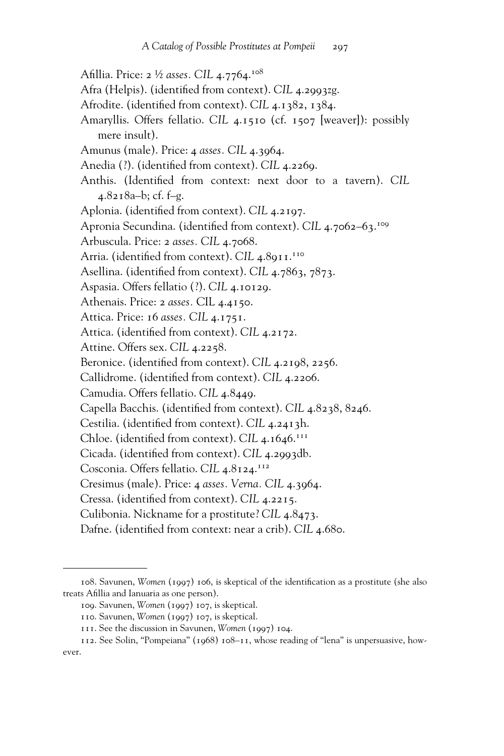Afillia. Price: 2 <sup>1</sup>/<sub>2</sub> asses. CIL 4.7764.<sup>108</sup> Afra (Helpis). (identified from context). *CIL* 4.2993zg. Afrodite. (identified from context). CIL 4.1382, 1384. Amaryllis. Offers fellatio. *CIL* 4.1510 (cf. 1507 [weaver]): possibly mere insult). Amunus (male). Price: 4 *asses. CIL* 4.3964. Anedia (?). (identified from context). CIL 4.2269. Anthis. (Identified from context: next door to a tavern). CIL 4.8218a–b; cf. f–g. Aplonia. (identified from context). CIL 4.2197. Apronia Secundina. (identified from context). CIL 4.7062-63.<sup>109</sup> Arbuscula. Price: 2 *asses. CIL* 4.7068. Arria. (identified from context). CIL 4.8911.<sup>110</sup> Asellina. (identified from context). CIL 4.7863, 7873. Aspasia. Offers fellatio (?). *CIL* 4.10129. Athenais. Price: 2 *asses.* CIL 4.4150. Attica. Price: 16 *asses. CIL* 4.1751. Attica. (identified from context). CIL 4.2172. Attine. Offers sex. CIL 4.2258. Beronice. (identified from context). CIL 4.2198, 2256. Callidrome. (identified from context). CIL 4.2206. Camudia. Offers fellatio. *CIL* 4.8449. Capella Bacchis. (identified from context). CIL 4.8238, 8246. Cestilia. (identified from context). CIL 4.2413h. Chloe. (identified from context). CIL 4.1646.<sup>111</sup> Cicada. (identified from context). CIL 4.2993db. Cosconia. Offers fellatio. CIL 4.8124.<sup>112</sup> Cresimus (male). Price: 4 *asses. Verna. CIL* 4.3964. Cressa. (identified from context). CIL 4.2215. Culibonia. Nickname for a prostitute? *CIL* 4.8473. Dafne. (identified from context: near a crib). CIL 4.680.

<sup>108.</sup> Savunen, *Women* (1997) 106, is skeptical of the identification as a prostitute (she also treats Afillia and Ianuaria as one person).

<sup>109.</sup> Savunen, *Women* (1997) 107, is skeptical.

<sup>110.</sup> Savunen, *Women* (1997) 107, is skeptical.

<sup>111.</sup> See the discussion in Savunen, *Women* (1997) 104.

<sup>112.</sup> See Solin, "Pompeiana" (1968) 108–11, whose reading of "lena" is unpersuasive, however.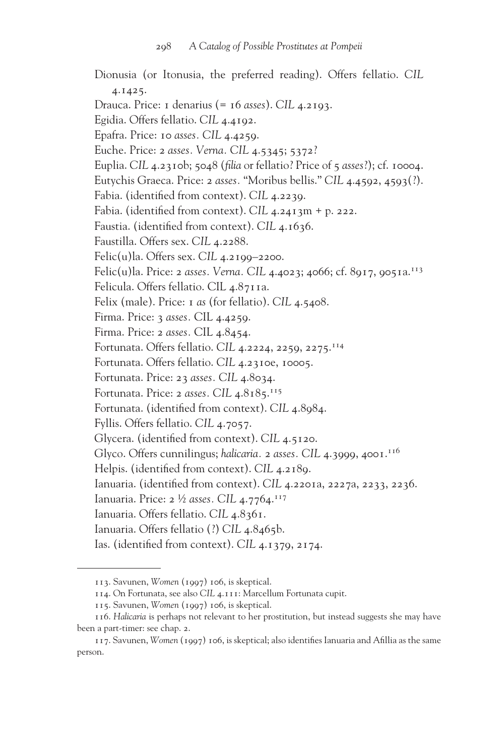Dionusia (or Itonusia, the preferred reading). Offers fellatio. *CIL* 4.1425. Drauca. Price: 1 denarius (= 16 *asses*). *CIL* 4.2193. Egidia. Offers fellatio. *CIL* 4.4192. Epafra. Price: 10 *asses. CIL* 4.4259. Euche. Price: 2 *asses. Verna. CIL* 4.5345; 5372? Euplia. *CIL* 4.2310b; 5048 (*‹lia* or fellatio? Price of 5 *asses*?); cf. 10004. Eutychis Graeca. Price: 2 *asses.* "Moribus bellis." *CIL* 4.4592, 4593(?). Fabia. (identified from context). CIL 4.2239. Fabia. (identified from context). CIL 4.2413m + p. 222. Faustia. (identified from context). CIL 4.1636. Faustilla. Offers sex. *CIL* 4.2288. Felic(u)la. Offers sex. *CIL* 4.2199–2200. Felic(u)la. Price: 2 *asses. Verna. CIL* 4.4023; 4066; cf. 8917, 9051a.113 Felicula. Offers fellatio. CIL 4.8711a. Felix (male). Price: 1 *as* (for fellatio). *CIL* 4.5408. Firma. Price: 3 *asses.* CIL 4.4259. Firma. Price: 2 *asses.* CIL 4.8454. Fortunata. Offers fellatio. *CIL* 4.2224, 2259, 2275.114 Fortunata. Offers fellatio. *CIL* 4.2310e, 10005. Fortunata. Price: 23 *asses. CIL* 4.8034. Fortunata. Price: 2 *asses*. CIL 4.8185.<sup>115</sup> Fortunata. (identified from context). CIL 4.8984. Fyllis. Offers fellatio. *CIL* 4.7057. Glycera. (identified from context). CIL 4.5120. Glyco. Offers cunnilingus; *halicaria.* 2 *asses. CIL* 4.3999, 4001.116 Helpis. (identified from context). CIL 4.2189. Ianuaria. (identified from context). CIL 4.2201a, 2227a, 2233, 2236. Ianuaria. Price: 2 ½ *asses. CIL* 4.7764.117 Ianuaria. Offers fellatio. *CIL* 4.8361. Ianuaria. Offers fellatio (?) *CIL* 4.8465b. Ias. (identified from context). CIL 4.1379, 2174.

<sup>113.</sup> Savunen, *Women* (1997) 106, is skeptical.

<sup>114.</sup> On Fortunata, see also *CIL* 4.111: Marcellum Fortunata cupit.

<sup>115.</sup> Savunen, *Women* (1997) 106, is skeptical.

<sup>116.</sup> *Halicaria* is perhaps not relevant to her prostitution, but instead suggests she may have been a part-timer: see chap. 2.

<sup>117.</sup> Savunen, *Women* (1997) 106, is skeptical; also identifies Ianuaria and Afillia as the same person.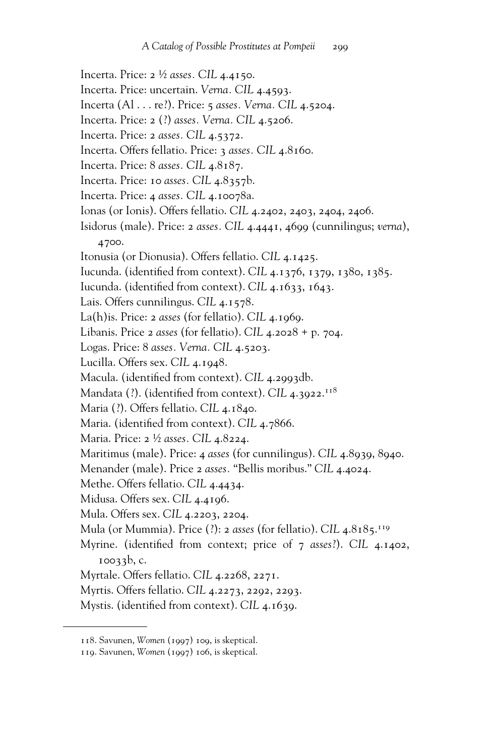Incerta. Price: 2 ½ *asses. CIL* 4.4150. Incerta. Price: uncertain. *Verna. CIL* 4.4593. Incerta (Al . . . re?). Price: 5 *asses. Verna. CIL* 4.5204. Incerta. Price: 2 (?) *asses. Verna. CIL* 4.5206. Incerta. Price: 2 *asses. CIL* 4.5372. Incerta. Offers fellatio. Price: 3 *asses. CIL* 4.8160. Incerta. Price: 8 *asses. CIL* 4.8187. Incerta. Price: 10 *asses. CIL* 4.8357b. Incerta. Price: 4 *asses. CIL* 4.10078a. Ionas (or Ionis). Offers fellatio. *CIL* 4.2402, 2403, 2404, 2406. Isidorus (male). Price: 2 *asses. CIL* 4.4441, 4699 (cunnilingus; *verna*), 4700. Itonusia (or Dionusia). Offers fellatio. *CIL* 4.1425. Iucunda. (identified from context). CIL 4.1376, 1379, 1380, 1385. Iucunda. (identified from context). CIL 4.1633, 1643. Lais. Offers cunnilingus. *CIL* 4.1578. La(h)is. Price: 2 *asses* (for fellatio). *CIL* 4.1969. Libanis. Price 2 *asses* (for fellatio). *CIL* 4.2028 + p. 704. Logas. Price: 8 *asses. Verna. CIL* 4.5203. Lucilla. Offers sex. *CIL* 4.1948. Macula. (identified from context). CIL 4.2993db. Mandata (?). (identified from context). CIL 4.3922.<sup>118</sup> Maria (?). Offers fellatio. *CIL* 4.1840. Maria. (identified from context). CIL 4.7866. Maria. Price: 2 ½ *asses. CIL* 4.8224. Maritimus (male). Price: 4 *asses* (for cunnilingus). *CIL* 4.8939, 8940. Menander (male). Price 2 *asses.* "Bellis moribus." *CIL* 4.4024. Methe. Offers fellatio. *CIL* 4.4434. Midusa. Offers sex. *CIL* 4.4196. Mula. Offers sex. *CIL* 4.2203, 2204. Mula (or Mummia). Price (?): 2 *asses* (for fellatio). *CIL* 4.8185.119 Myrine. (identified from context; price of 7 *asses*?). CIL 4.1402, 10033b, c. Myrtale. Offers fellatio. *CIL* 4.2268, 2271. Myrtis. Offers fellatio. *CIL* 4.2273, 2292, 2293. Mystis. (identified from context). CIL 4.1639.

<sup>118.</sup> Savunen, *Women* (1997) 109, is skeptical.

<sup>119.</sup> Savunen, *Women* (1997) 106, is skeptical.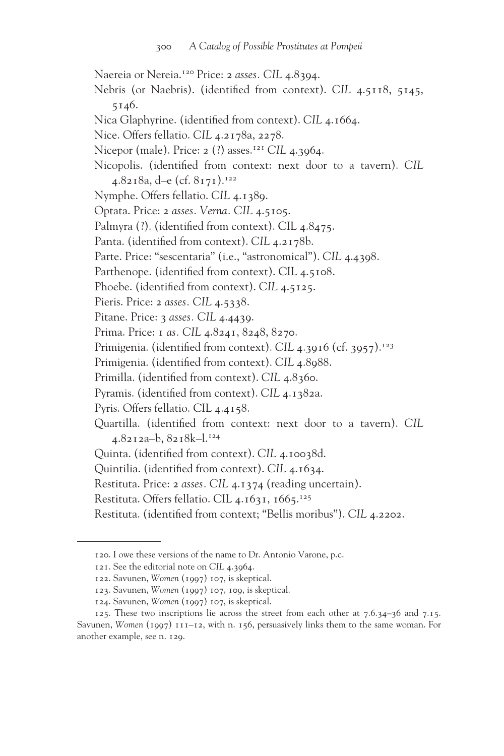Naereia or Nereia.120 Price: 2 *asses. CIL* 4.8394. Nebris (or Naebris). (identified from context). CIL 4.5118, 5145, 5146. Nica Glaphyrine. (identified from context). CIL 4.1664. Nice. Offers fellatio. *CIL* 4.2178a, 2278. Nicepor (male). Price: 2 (?) asses.121 *CIL* 4.3964. Nicopolis. (identified from context: next door to a tavern). CIL 4.8218a, d–e (cf. 8171).122 Nymphe. Offers fellatio. *CIL* 4.1389. Optata. Price: 2 *asses. Verna. CIL* 4.5105. Palmyra  $(?)$ . (identified from context). CIL 4.8475. Panta. (identified from context). CIL 4.2178b. Parte. Price: "sescentaria" (i.e., "astronomical"). *CIL* 4.4398. Parthenope. (identified from context). CIL 4.5108. Phoebe. (identified from context). CIL 4.5125. Pieris. Price: 2 *asses. CIL* 4.5338. Pitane. Price: 3 *asses. CIL* 4.4439. Prima. Price: 1 *as. CIL* 4.8241, 8248, 8270. Primigenia. (identified from context). CIL 4.3916 (cf. 3957).<sup>123</sup> Primigenia. (identified from context). CIL 4.8988. Primilla. (identified from context). CIL 4.8360. Pyramis. (identified from context). CIL 4.1382a. Pyris. Offers fellatio. CIL 4.4158. Quartilla. (identified from context: next door to a tavern). CIL 4.8212a–b, 8218k–l.124 Quinta. (identified from context). CIL 4.10038d. Quintilia. (identified from context). CIL 4.1634. Restituta. Price: 2 *asses. CIL* 4.1374 (reading uncertain). Restituta. Offers fellatio. CIL 4.1631, 1665.<sup>125</sup> Restituta. (identified from context; "Bellis moribus"). CIL 4.2202.

<sup>120.</sup> I owe these versions of the name to Dr. Antonio Varone, p.c.

<sup>121.</sup> See the editorial note on *CIL* 4.3964.

<sup>122.</sup> Savunen, *Women* (1997) 107, is skeptical.

<sup>123.</sup> Savunen, *Women* (1997) 107, 109, is skeptical.

<sup>124.</sup> Savunen, *Women* (1997) 107, is skeptical.

<sup>125.</sup> These two inscriptions lie across the street from each other at 7.6.34–36 and 7.15. Savunen, *Women* (1997) 111-12, with n. 156, persuasively links them to the same woman. For another example, see n. 129.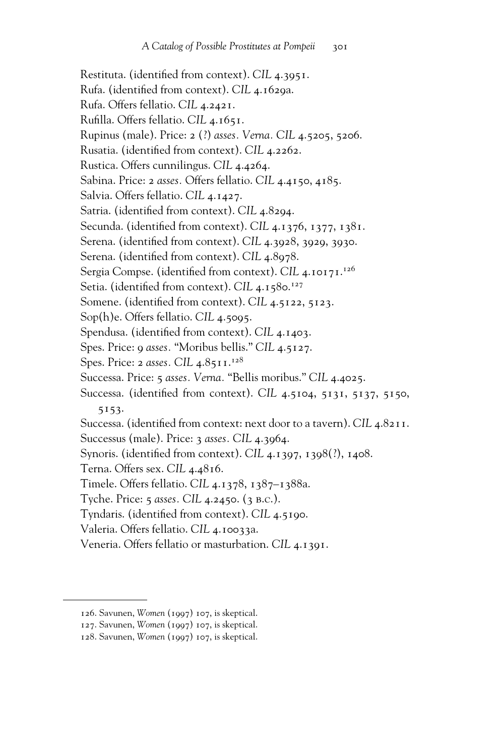Restituta. (identified from context). CIL 4.3951. Rufa. (identified from context). CIL 4.1629a. Rufa. Offers fellatio. *CIL* 4.2421. Rufilla. Offers fellatio. CIL 4.1651. Rupinus (male). Price: 2 (?) *asses. Verna. CIL* 4.5205, 5206. Rusatia. (identified from context). CIL 4.2262. Rustica. Offers cunnilingus. *CIL* 4.4264. Sabina. Price: 2 *asses.* Offers fellatio. *CIL* 4.4150, 4185. Salvia. Offers fellatio. *CIL* 4.1427. Satria. (identified from context). CIL 4.8294. Secunda. (identified from context). CIL 4.1376, 1377, 1381. Serena. (identified from context). CIL 4.3928, 3929, 3930. Serena. (identified from context). CIL 4.8978. Sergia Compse. (identified from context). CIL 4.10171.<sup>126</sup> Setia. (identified from context). CIL 4.1580.<sup>127</sup> Somene. (identified from context). CIL 4.5122, 5123. Sop(h)e. Offers fellatio. *CIL* 4.5095. Spendusa. (identified from context). CIL 4.1403. Spes. Price: 9 *asses.* "Moribus bellis." *CIL* 4.5127. Spes. Price: 2 *asses*. CIL 4.8511.<sup>128</sup> Successa. Price: 5 *asses. Verna.* "Bellis moribus." *CIL* 4.4025. Successa. (identified from context). CIL 4.5104, 5131, 5137, 5150, 5153. Successa. (identified from context: next door to a tavern). CIL 4.8211. Successus (male). Price: 3 *asses*. CIL 4.3964. Synoris. (identified from context). *CIL* 4.1397, 1398(?), 1408. Terna. Offers sex. *CIL* 4.4816. Timele. Offers fellatio. *CIL* 4.1378, 1387–1388a. Tyche. Price: 5 *asses. CIL* 4.2450. (3 b.c.). Tyndaris. (identified from context). CIL 4.5190. Valeria. Offers fellatio. *CIL* 4.10033a. Veneria. Offers fellatio or masturbation. *CIL* 4.1391.

<sup>126.</sup> Savunen, *Women* (1997) 107, is skeptical.

<sup>127.</sup> Savunen, *Women* (1997) 107, is skeptical.

<sup>128.</sup> Savunen, *Women* (1997) 107, is skeptical.